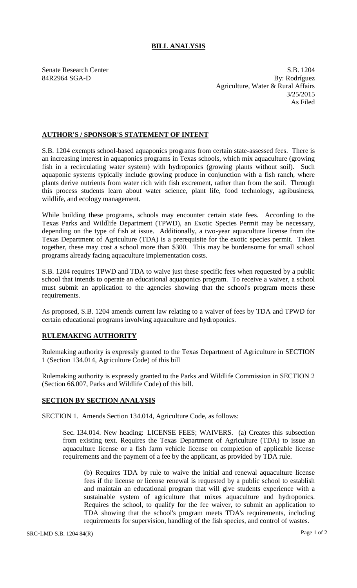## **BILL ANALYSIS**

Senate Research Center S.B. 1204 84R2964 SGA-D By: Rodríguez Agriculture, Water & Rural Affairs 3/25/2015 As Filed

## **AUTHOR'S / SPONSOR'S STATEMENT OF INTENT**

S.B. 1204 exempts school-based aquaponics programs from certain state-assessed fees. There is an increasing interest in aquaponics programs in Texas schools, which mix aquaculture (growing fish in a recirculating water system) with hydroponics (growing plants without soil). Such aquaponic systems typically include growing produce in conjunction with a fish ranch, where plants derive nutrients from water rich with fish excrement, rather than from the soil. Through this process students learn about water science, plant life, food technology, agribusiness, wildlife, and ecology management.

While building these programs, schools may encounter certain state fees. According to the Texas Parks and Wildlife Department (TPWD), an Exotic Species Permit may be necessary, depending on the type of fish at issue. Additionally, a two-year aquaculture license from the Texas Department of Agriculture (TDA) is a prerequisite for the exotic species permit. Taken together, these may cost a school more than \$300. This may be burdensome for small school programs already facing aquaculture implementation costs.

S.B. 1204 requires TPWD and TDA to waive just these specific fees when requested by a public school that intends to operate an educational aquaponics program. To receive a waiver, a school must submit an application to the agencies showing that the school's program meets these requirements.

As proposed, S.B. 1204 amends current law relating to a waiver of fees by TDA and TPWD for certain educational programs involving aquaculture and hydroponics.

## **RULEMAKING AUTHORITY**

Rulemaking authority is expressly granted to the Texas Department of Agriculture in SECTION 1 (Section 134.014, Agriculture Code) of this bill

Rulemaking authority is expressly granted to the Parks and Wildlife Commission in SECTION 2 (Section 66.007, Parks and Wildlife Code) of this bill.

## **SECTION BY SECTION ANALYSIS**

SECTION 1. Amends Section 134.014, Agriculture Code, as follows:

Sec. 134.014. New heading: LICENSE FEES; WAIVERS. (a) Creates this subsection from existing text. Requires the Texas Department of Agriculture (TDA) to issue an aquaculture license or a fish farm vehicle license on completion of applicable license requirements and the payment of a fee by the applicant, as provided by TDA rule.

(b) Requires TDA by rule to waive the initial and renewal aquaculture license fees if the license or license renewal is requested by a public school to establish and maintain an educational program that will give students experience with a sustainable system of agriculture that mixes aquaculture and hydroponics. Requires the school, to qualify for the fee waiver, to submit an application to TDA showing that the school's program meets TDA's requirements, including requirements for supervision, handling of the fish species, and control of wastes.